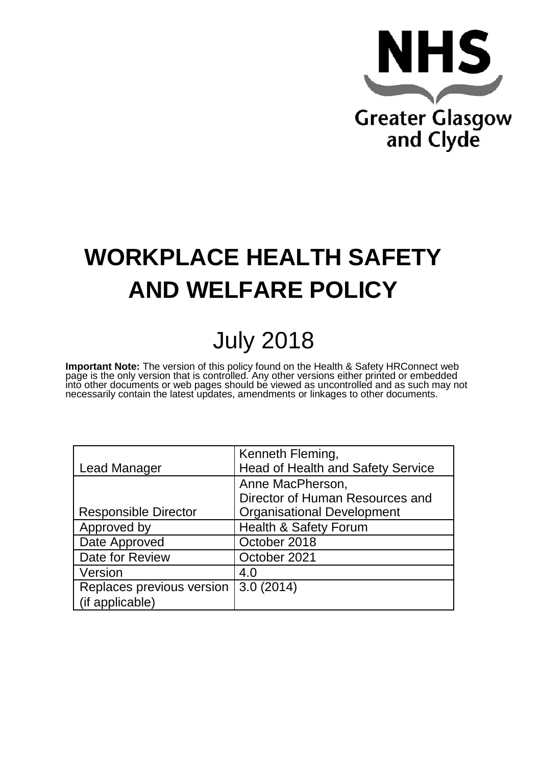

# **WORKPLACE HEALTH SAFETY AND WELFARE POLICY**

# July 2018

**Important Note:** The version of this policy found on the Health & Safety HRConnect web<br>page is the only version that is controlled. Any other versions either printed or embedded into other documents or web pages should be viewed as uncontrolled and as such may not necessarily contain the latest updates, amendments or linkages to other documents.

|                             | Kenneth Fleming,                         |
|-----------------------------|------------------------------------------|
| <b>Lead Manager</b>         | <b>Head of Health and Safety Service</b> |
|                             | Anne MacPherson,                         |
|                             | Director of Human Resources and          |
| <b>Responsible Director</b> | <b>Organisational Development</b>        |
| Approved by                 | <b>Health &amp; Safety Forum</b>         |
| Date Approved               | October 2018                             |
| Date for Review             | October 2021                             |
| Version                     | 4.0                                      |
| Replaces previous version   | 3.0(2014)                                |
| (if applicable)             |                                          |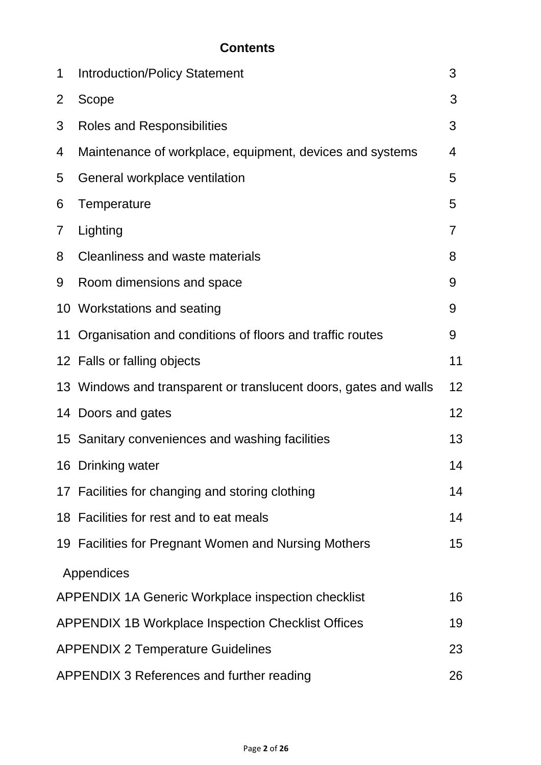# **Contents**

| 1              | <b>Introduction/Policy Statement</b>                             | 3  |
|----------------|------------------------------------------------------------------|----|
| $\overline{2}$ | Scope                                                            | 3  |
| 3              | <b>Roles and Responsibilities</b>                                | 3  |
| 4              | Maintenance of workplace, equipment, devices and systems         | 4  |
| 5              | General workplace ventilation                                    | 5  |
| 6              | Temperature                                                      | 5  |
| 7              | Lighting                                                         | 7  |
| 8              | Cleanliness and waste materials                                  | 8  |
| 9              | Room dimensions and space                                        | 9  |
|                | 10 Workstations and seating                                      | 9  |
|                | 11 Organisation and conditions of floors and traffic routes      | 9  |
|                | 12 Falls or falling objects                                      | 11 |
|                | 13 Windows and transparent or translucent doors, gates and walls | 12 |
|                | 14 Doors and gates                                               | 12 |
|                | 15 Sanitary conveniences and washing facilities                  | 13 |
|                | 16 Drinking water                                                | 14 |
|                | 17 Facilities for changing and storing clothing                  | 14 |
|                | 18 Facilities for rest and to eat meals                          | 14 |
|                | 19 Facilities for Pregnant Women and Nursing Mothers             | 15 |
|                | Appendices                                                       |    |
|                | <b>APPENDIX 1A Generic Workplace inspection checklist</b>        | 16 |
|                | <b>APPENDIX 1B Workplace Inspection Checklist Offices</b>        | 19 |
|                | <b>APPENDIX 2 Temperature Guidelines</b>                         | 23 |
|                | APPENDIX 3 References and further reading                        | 26 |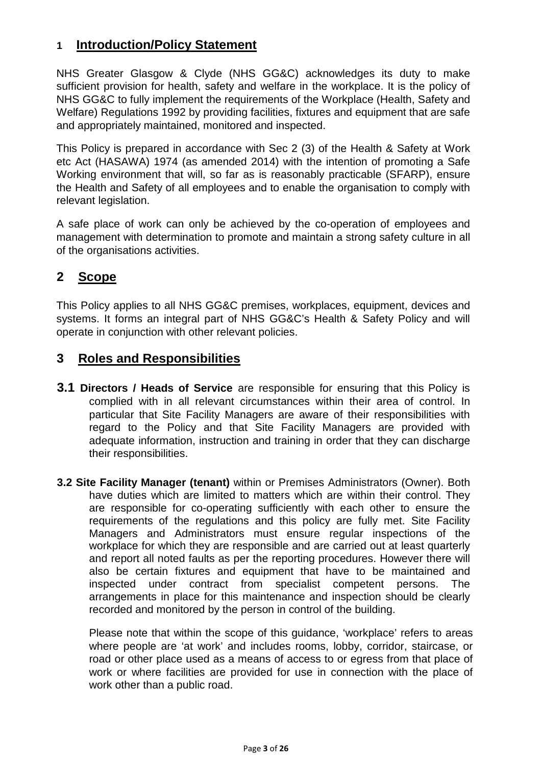## **1 Introduction/Policy Statement**

NHS Greater Glasgow & Clyde (NHS GG&C) acknowledges its duty to make sufficient provision for health, safety and welfare in the workplace. It is the policy of NHS GG&C to fully implement the requirements of the Workplace (Health, Safety and Welfare) Regulations 1992 by providing facilities, fixtures and equipment that are safe and appropriately maintained, monitored and inspected.

This Policy is prepared in accordance with Sec 2 (3) of the Health & Safety at Work etc Act (HASAWA) 1974 (as amended 2014) with the intention of promoting a Safe Working environment that will, so far as is reasonably practicable (SFARP), ensure the Health and Safety of all employees and to enable the organisation to comply with relevant legislation.

A safe place of work can only be achieved by the co-operation of employees and management with determination to promote and maintain a strong safety culture in all of the organisations activities.

## **2 Scope**

This Policy applies to all NHS GG&C premises, workplaces, equipment, devices and systems. It forms an integral part of NHS GG&C's Health & Safety Policy and will operate in conjunction with other relevant policies.

## **3 Roles and Responsibilities**

- **3.1 Directors / Heads of Service** are responsible for ensuring that this Policy is complied with in all relevant circumstances within their area of control. In particular that Site Facility Managers are aware of their responsibilities with regard to the Policy and that Site Facility Managers are provided with adequate information, instruction and training in order that they can discharge their responsibilities.
- **3.2 Site Facility Manager (tenant)** within or Premises Administrators (Owner). Both have duties which are limited to matters which are within their control. They are responsible for co-operating sufficiently with each other to ensure the requirements of the regulations and this policy are fully met. Site Facility Managers and Administrators must ensure regular inspections of the workplace for which they are responsible and are carried out at least quarterly and report all noted faults as per the reporting procedures. However there will also be certain fixtures and equipment that have to be maintained and inspected under contract from specialist competent persons. The arrangements in place for this maintenance and inspection should be clearly recorded and monitored by the person in control of the building.

Please note that within the scope of this guidance, 'workplace' refers to areas where people are 'at work' and includes rooms, lobby, corridor, staircase, or road or other place used as a means of access to or egress from that place of work or where facilities are provided for use in connection with the place of work other than a public road.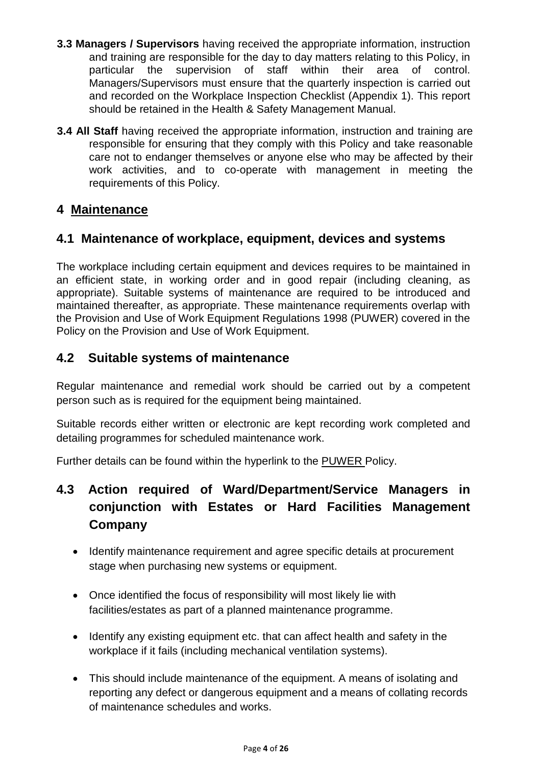- **3.3 Managers / Supervisors** having received the appropriate information, instruction and training are responsible for the day to day matters relating to this Policy, in particular the supervision of staff within their area of control. Managers/Supervisors must ensure that the quarterly inspection is carried out and recorded on the Workplace Inspection Checklist (Appendix 1). This report should be retained in the Health & Safety Management Manual.
- **3.4 All Staff** having received the appropriate information, instruction and training are responsible for ensuring that they comply with this Policy and take reasonable care not to endanger themselves or anyone else who may be affected by their work activities, and to co-operate with management in meeting the requirements of this Policy.

## **4 Maintenance**

## **4.1 Maintenance of workplace, equipment, devices and systems**

The workplace including certain equipment and devices requires to be maintained in an efficient state, in working order and in good repair (including cleaning, as appropriate). Suitable systems of maintenance are required to be introduced and maintained thereafter, as appropriate. These maintenance requirements overlap with the Provision and Use of Work Equipment Regulations 1998 (PUWER) covered in the Policy on the Provision and Use of Work Equipment.

## **4.2 Suitable systems of maintenance**

Regular maintenance and remedial work should be carried out by a competent person such as is required for the equipment being maintained.

Suitable records either written or electronic are kept recording work completed and detailing programmes for scheduled maintenance work.

Further details can be found within the hyperlink to the [PUWER P](http://www.nhsggc.org.uk/media/234149/puwer-policy-april-2016.pdf)olicy.

# **4.3 Action required of Ward/Department/Service Managers in conjunction with Estates or Hard Facilities Management Company**

- Identify maintenance requirement and agree specific details at procurement stage when purchasing new systems or equipment.
- Once identified the focus of responsibility will most likely lie with facilities/estates as part of a planned maintenance programme.
- Identify any existing equipment etc. that can affect health and safety in the workplace if it fails (including mechanical ventilation systems).
- This should include maintenance of the equipment. A means of isolating and reporting any defect or dangerous equipment and a means of collating records of maintenance schedules and works.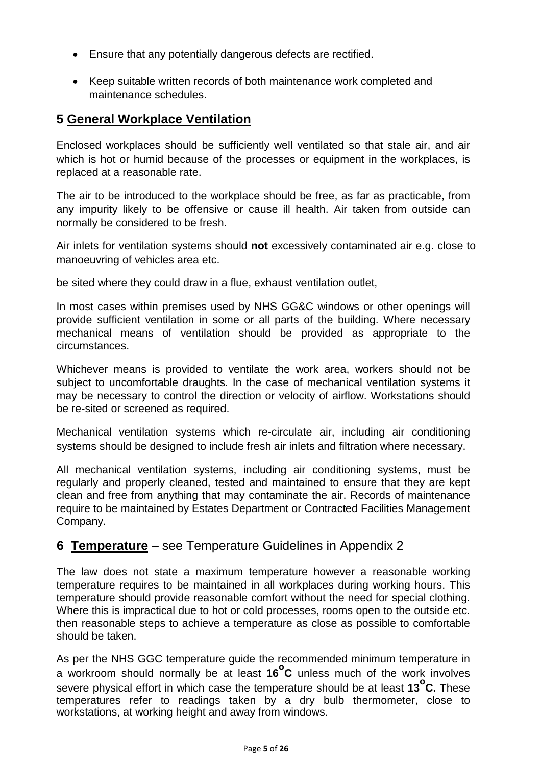- Ensure that any potentially dangerous defects are rectified.
- Keep suitable written records of both maintenance work completed and maintenance schedules.

# **5 General Workplace Ventilation**

Enclosed workplaces should be sufficiently well ventilated so that stale air, and air which is hot or humid because of the processes or equipment in the workplaces, is replaced at a reasonable rate.

The air to be introduced to the workplace should be free, as far as practicable, from any impurity likely to be offensive or cause ill health. Air taken from outside can normally be considered to be fresh.

Air inlets for ventilation systems should **not** excessively contaminated air e.g. close to manoeuvring of vehicles area etc.

be sited where they could draw in a flue, exhaust ventilation outlet,

In most cases within premises used by NHS GG&C windows or other openings will provide sufficient ventilation in some or all parts of the building. Where necessary mechanical means of ventilation should be provided as appropriate to the circumstances.

Whichever means is provided to ventilate the work area, workers should not be subject to uncomfortable draughts. In the case of mechanical ventilation systems it may be necessary to control the direction or velocity of airflow. Workstations should be re-sited or screened as required.

Mechanical ventilation systems which re-circulate air, including air conditioning systems should be designed to include fresh air inlets and filtration where necessary.

All mechanical ventilation systems, including air conditioning systems, must be regularly and properly cleaned, tested and maintained to ensure that they are kept clean and free from anything that may contaminate the air. Records of maintenance require to be maintained by Estates Department or Contracted Facilities Management Company.

## **6 Temperature** – see Temperature Guidelines in Appendix 2

The law does not state a maximum temperature however a reasonable working temperature requires to be maintained in all workplaces during working hours. This temperature should provide reasonable comfort without the need for special clothing. Where this is impractical due to hot or cold processes, rooms open to the outside etc. then reasonable steps to achieve a temperature as close as possible to comfortable should be taken.

As per the NHS GGC temperature guide the recommended minimum temperature in a workroom should normally be at least **16<sup>o</sup> C** unless much of the work involves severe physical effort in which case the temperature should be at least **13<sup>o</sup> C.** These temperatures refer to readings taken by a dry bulb thermometer, close to workstations, at working height and away from windows.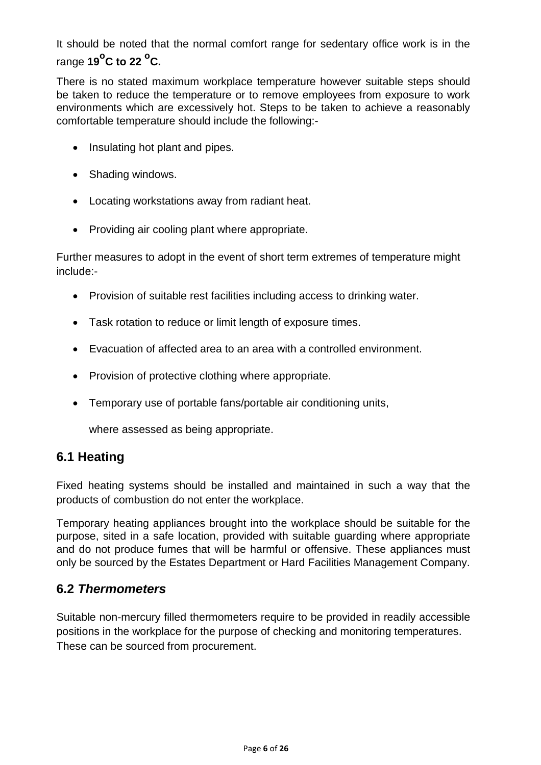It should be noted that the normal comfort range for sedentary office work is in the range **19<sup>o</sup> C to 22 <sup>o</sup> C.**

There is no stated maximum workplace temperature however suitable steps should be taken to reduce the temperature or to remove employees from exposure to work environments which are excessively hot. Steps to be taken to achieve a reasonably comfortable temperature should include the following:-

- Insulating hot plant and pipes.
- Shading windows.
- Locating workstations away from radiant heat.
- Providing air cooling plant where appropriate.

Further measures to adopt in the event of short term extremes of temperature might include:-

- Provision of suitable rest facilities including access to drinking water.
- Task rotation to reduce or limit length of exposure times.
- Evacuation of affected area to an area with a controlled environment.
- Provision of protective clothing where appropriate.
- Temporary use of portable fans/portable air conditioning units,

where assessed as being appropriate.

## **6.1 Heating**

Fixed heating systems should be installed and maintained in such a way that the products of combustion do not enter the workplace.

Temporary heating appliances brought into the workplace should be suitable for the purpose, sited in a safe location, provided with suitable guarding where appropriate and do not produce fumes that will be harmful or offensive. These appliances must only be sourced by the Estates Department or Hard Facilities Management Company.

## **6.2** *Thermometers*

Suitable non-mercury filled thermometers require to be provided in readily accessible positions in the workplace for the purpose of checking and monitoring temperatures. These can be sourced from procurement.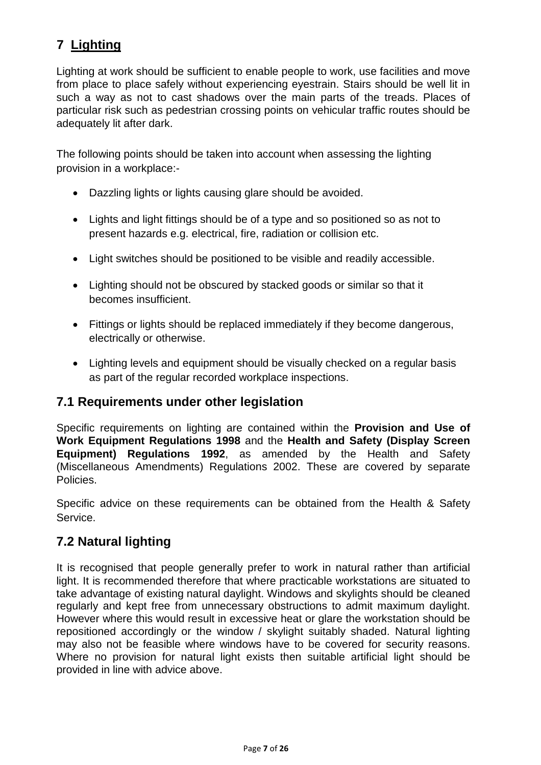# **7 Lighting**

Lighting at work should be sufficient to enable people to work, use facilities and move from place to place safely without experiencing eyestrain. Stairs should be well lit in such a way as not to cast shadows over the main parts of the treads. Places of particular risk such as pedestrian crossing points on vehicular traffic routes should be adequately lit after dark.

The following points should be taken into account when assessing the lighting provision in a workplace:-

- Dazzling lights or lights causing glare should be avoided.
- Lights and light fittings should be of a type and so positioned so as not to present hazards e.g. electrical, fire, radiation or collision etc.
- Light switches should be positioned to be visible and readily accessible.
- Lighting should not be obscured by stacked goods or similar so that it becomes insufficient.
- Fittings or lights should be replaced immediately if they become dangerous, electrically or otherwise.
- Lighting levels and equipment should be visually checked on a regular basis as part of the regular recorded workplace inspections.

## **7.1 Requirements under other legislation**

Specific requirements on lighting are contained within the **Provision and Use of Work Equipment Regulations 1998** and the **Health and Safety (Display Screen Equipment) Regulations 1992**, as amended by the Health and Safety (Miscellaneous Amendments) Regulations 2002. These are covered by separate Policies.

Specific advice on these requirements can be obtained from the Health & Safety Service.

## **7.2 Natural lighting**

It is recognised that people generally prefer to work in natural rather than artificial light. It is recommended therefore that where practicable workstations are situated to take advantage of existing natural daylight. Windows and skylights should be cleaned regularly and kept free from unnecessary obstructions to admit maximum daylight. However where this would result in excessive heat or glare the workstation should be repositioned accordingly or the window / skylight suitably shaded. Natural lighting may also not be feasible where windows have to be covered for security reasons. Where no provision for natural light exists then suitable artificial light should be provided in line with advice above.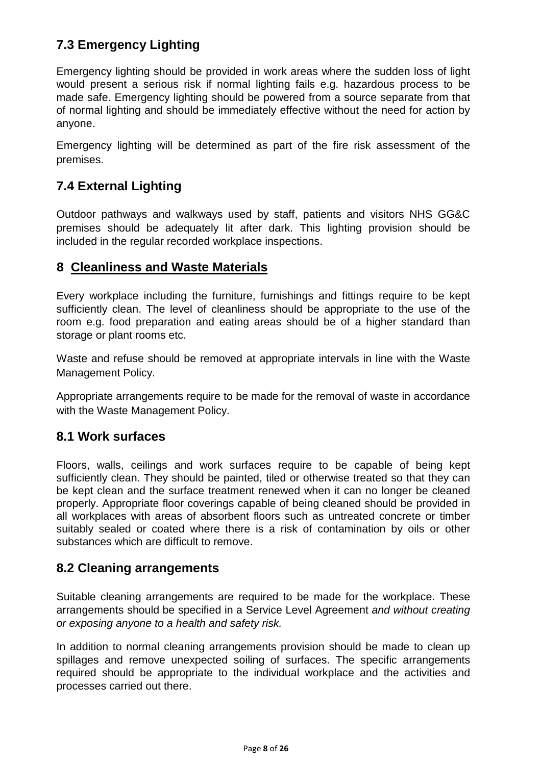# **7.3 Emergency Lighting**

Emergency lighting should be provided in work areas where the sudden loss of light would present a serious risk if normal lighting fails e.g. hazardous process to be made safe. Emergency lighting should be powered from a source separate from that of normal lighting and should be immediately effective without the need for action by anyone.

Emergency lighting will be determined as part of the fire risk assessment of the premises.

# **7.4 External Lighting**

Outdoor pathways and walkways used by staff, patients and visitors NHS GG&C premises should be adequately lit after dark. This lighting provision should be included in the regular recorded workplace inspections.

## **8 Cleanliness and Waste Materials**

Every workplace including the furniture, furnishings and fittings require to be kept sufficiently clean. The level of cleanliness should be appropriate to the use of the room e.g. food preparation and eating areas should be of a higher standard than storage or plant rooms etc.

Waste and refuse should be removed at appropriate intervals in line with the Waste Management Policy.

Appropriate arrangements require to be made for the removal of waste in accordance with the Waste Management Policy.

## **8.1 Work surfaces**

Floors, walls, ceilings and work surfaces require to be capable of being kept sufficiently clean. They should be painted, tiled or otherwise treated so that they can be kept clean and the surface treatment renewed when it can no longer be cleaned properly. Appropriate floor coverings capable of being cleaned should be provided in all workplaces with areas of absorbent floors such as untreated concrete or timber suitably sealed or coated where there is a risk of contamination by oils or other substances which are difficult to remove.

## **8.2 Cleaning arrangements**

Suitable cleaning arrangements are required to be made for the workplace. These arrangements should be specified in a Service Level Agreement *and without creating or exposing anyone to a health and safety risk.*

In addition to normal cleaning arrangements provision should be made to clean up spillages and remove unexpected soiling of surfaces. The specific arrangements required should be appropriate to the individual workplace and the activities and processes carried out there.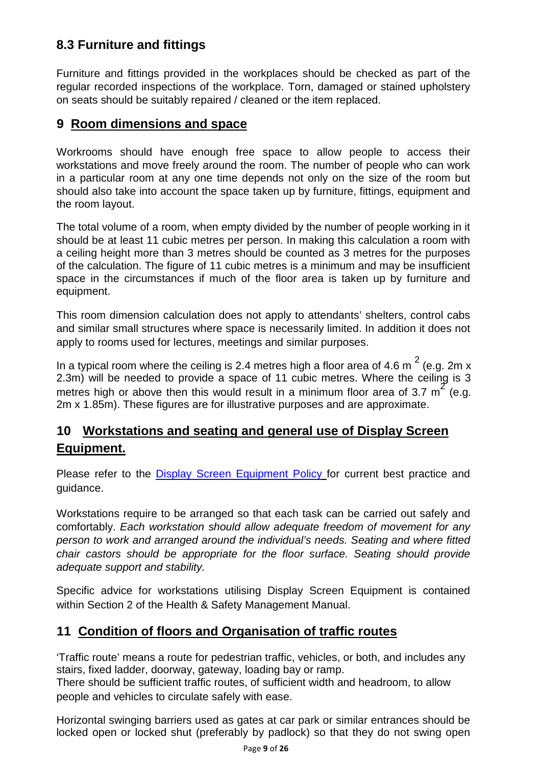# **8.3 Furniture and fittings**

Furniture and fittings provided in the workplaces should be checked as part of the regular recorded inspections of the workplace. Torn, damaged or stained upholstery on seats should be suitably repaired / cleaned or the item replaced.

## **9 Room dimensions and space**

Workrooms should have enough free space to allow people to access their workstations and move freely around the room. The number of people who can work in a particular room at any one time depends not only on the size of the room but should also take into account the space taken up by furniture, fittings, equipment and the room layout.

The total volume of a room, when empty divided by the number of people working in it should be at least 11 cubic metres per person. In making this calculation a room with a ceiling height more than 3 metres should be counted as 3 metres for the purposes of the calculation. The figure of 11 cubic metres is a minimum and may be insufficient space in the circumstances if much of the floor area is taken up by furniture and equipment.

This room dimension calculation does not apply to attendants' shelters, control cabs and similar small structures where space is necessarily limited. In addition it does not apply to rooms used for lectures, meetings and similar purposes.

In a typical room where the ceiling is 2.4 metres high a floor area of 4.6 m<sup>2</sup> (e.g. 2m x 2.3m) will be needed to provide a space of 11 cubic metres. Where the ceiling is 3 metres high or above then this would result in a minimum floor area of 3.7  $m^2$  (e.g. 2m x 1.85m). These figures are for illustrative purposes and are approximate.

# **10 Workstations and seating and general use of Display Screen Equipment.**

Please refer to the [Display Screen Equipment Policy](https://www.nhsggc.org.uk/working-with-us/hr-connect/health-safety/policies-guidance-documents-forms/display-screen-equipment-dse/) for current best practice and guidance.

Workstations require to be arranged so that each task can be carried out safely and comfortably. *Each workstation should allow adequate freedom of movement for any person to work and arranged around the individual's needs. Seating and where fitted chair castors should be appropriate for the floor surface. Seating should provide adequate support and stability.* 

Specific advice for workstations utilising Display Screen Equipment is contained within Section 2 of the Health & Safety Management Manual.

# **11 Condition of floors and Organisation of traffic routes**

'Traffic route' means a route for pedestrian traffic, vehicles, or both, and includes any stairs, fixed ladder, doorway, gateway, loading bay or ramp.

There should be sufficient traffic routes, of sufficient width and headroom, to allow people and vehicles to circulate safely with ease.

Horizontal swinging barriers used as gates at car park or similar entrances should be locked open or locked shut (preferably by padlock) so that they do not swing open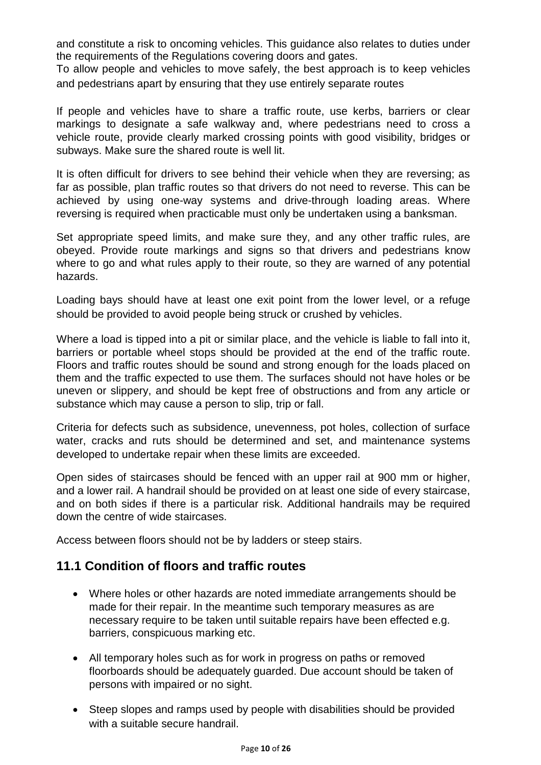and constitute a risk to oncoming vehicles. This guidance also relates to duties under the requirements of the Regulations covering doors and gates.

To allow people and vehicles to move safely, the best approach is to keep vehicles and pedestrians apart by ensuring that they use entirely separate routes

If people and vehicles have to share a traffic route, use kerbs, barriers or clear markings to designate a safe walkway and, where pedestrians need to cross a vehicle route, provide clearly marked crossing points with good visibility, bridges or subways. Make sure the shared route is well lit.

It is often difficult for drivers to see behind their vehicle when they are reversing; as far as possible, plan traffic routes so that drivers do not need to reverse. This can be achieved by using one-way systems and drive-through loading areas. Where reversing is required when practicable must only be undertaken using a banksman.

Set appropriate speed limits, and make sure they, and any other traffic rules, are obeyed. Provide route markings and signs so that drivers and pedestrians know where to go and what rules apply to their route, so they are warned of any potential hazards.

Loading bays should have at least one exit point from the lower level, or a refuge should be provided to avoid people being struck or crushed by vehicles.

Where a load is tipped into a pit or similar place, and the vehicle is liable to fall into it, barriers or portable wheel stops should be provided at the end of the traffic route. Floors and traffic routes should be sound and strong enough for the loads placed on them and the traffic expected to use them. The surfaces should not have holes or be uneven or slippery, and should be kept free of obstructions and from any article or substance which may cause a person to slip, trip or fall.

Criteria for defects such as subsidence, unevenness, pot holes, collection of surface water, cracks and ruts should be determined and set, and maintenance systems developed to undertake repair when these limits are exceeded.

Open sides of staircases should be fenced with an upper rail at 900 mm or higher, and a lower rail. A handrail should be provided on at least one side of every staircase, and on both sides if there is a particular risk. Additional handrails may be required down the centre of wide staircases.

Access between floors should not be by ladders or steep stairs.

## **11.1 Condition of floors and traffic routes**

- Where holes or other hazards are noted immediate arrangements should be made for their repair. In the meantime such temporary measures as are necessary require to be taken until suitable repairs have been effected e.g. barriers, conspicuous marking etc.
- All temporary holes such as for work in progress on paths or removed floorboards should be adequately guarded. Due account should be taken of persons with impaired or no sight.
- Steep slopes and ramps used by people with disabilities should be provided with a suitable secure handrail.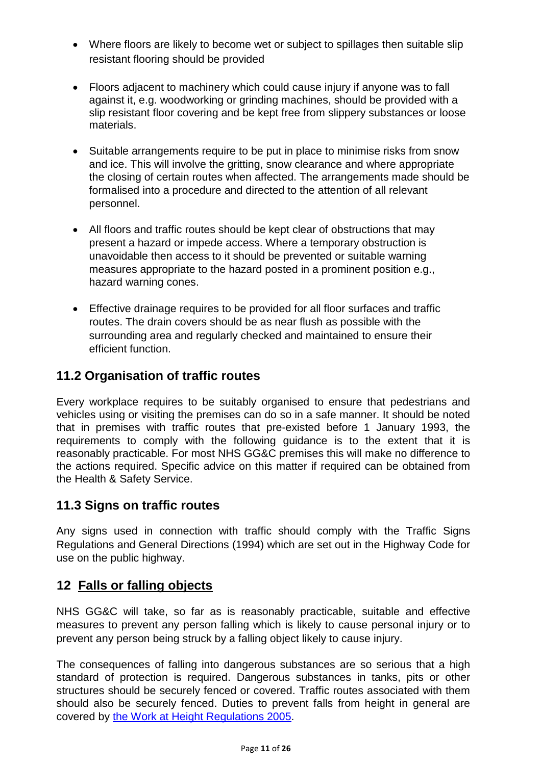- Where floors are likely to become wet or subject to spillages then suitable slip resistant flooring should be provided
- Floors adjacent to machinery which could cause injury if anyone was to fall against it, e.g. woodworking or grinding machines, should be provided with a slip resistant floor covering and be kept free from slippery substances or loose materials.
- Suitable arrangements require to be put in place to minimise risks from snow and ice. This will involve the gritting, snow clearance and where appropriate the closing of certain routes when affected. The arrangements made should be formalised into a procedure and directed to the attention of all relevant personnel.
- All floors and traffic routes should be kept clear of obstructions that may present a hazard or impede access. Where a temporary obstruction is unavoidable then access to it should be prevented or suitable warning measures appropriate to the hazard posted in a prominent position e.g., hazard warning cones.
- Effective drainage requires to be provided for all floor surfaces and traffic routes. The drain covers should be as near flush as possible with the surrounding area and regularly checked and maintained to ensure their efficient function.

## **11.2 Organisation of traffic routes**

Every workplace requires to be suitably organised to ensure that pedestrians and vehicles using or visiting the premises can do so in a safe manner. It should be noted that in premises with traffic routes that pre-existed before 1 January 1993, the requirements to comply with the following guidance is to the extent that it is reasonably practicable. For most NHS GG&C premises this will make no difference to the actions required. Specific advice on this matter if required can be obtained from the Health & Safety Service.

## **11.3 Signs on traffic routes**

Any signs used in connection with traffic should comply with the Traffic Signs Regulations and General Directions (1994) which are set out in the Highway Code for use on the public highway.

## **12 Falls or falling objects**

NHS GG&C will take, so far as is reasonably practicable, suitable and effective measures to prevent any person falling which is likely to cause personal injury or to prevent any person being struck by a falling object likely to cause injury.

The consequences of falling into dangerous substances are so serious that a high standard of protection is required. Dangerous substances in tanks, pits or other structures should be securely fenced or covered. Traffic routes associated with them should also be securely fenced. Duties to prevent falls from height in general are covered by [the Work at Height Regulations 2005.](http://www.hse.gov.uk/falls/regulations.htm)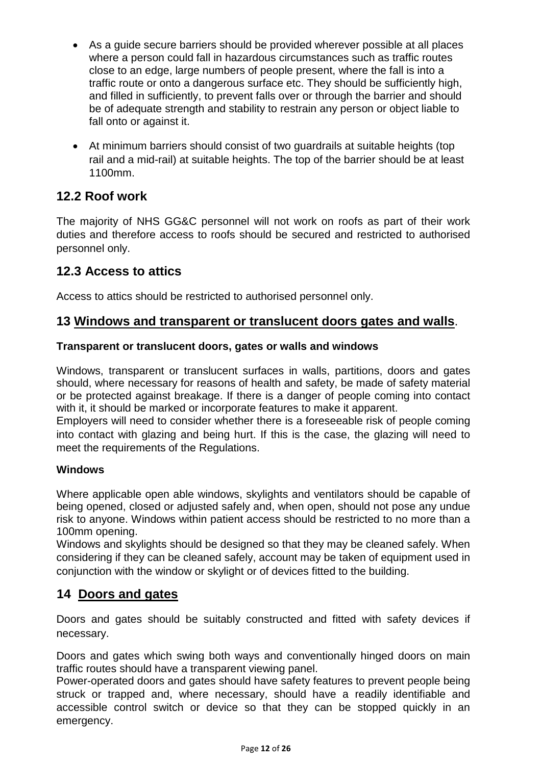- As a guide secure barriers should be provided wherever possible at all places where a person could fall in hazardous circumstances such as traffic routes close to an edge, large numbers of people present, where the fall is into a traffic route or onto a dangerous surface etc. They should be sufficiently high, and filled in sufficiently, to prevent falls over or through the barrier and should be of adequate strength and stability to restrain any person or object liable to fall onto or against it.
- At minimum barriers should consist of two guardrails at suitable heights (top rail and a mid-rail) at suitable heights. The top of the barrier should be at least 1100mm.

## **12.2 Roof work**

The majority of NHS GG&C personnel will not work on roofs as part of their work duties and therefore access to roofs should be secured and restricted to authorised personnel only.

## **12.3 Access to attics**

Access to attics should be restricted to authorised personnel only.

## **13 Windows and transparent or translucent doors gates and walls**.

#### **Transparent or translucent doors, gates or walls and windows**

Windows, transparent or translucent surfaces in walls, partitions, doors and gates should, where necessary for reasons of health and safety, be made of safety material or be protected against breakage. If there is a danger of people coming into contact with it, it should be marked or incorporate features to make it apparent.

Employers will need to consider whether there is a foreseeable risk of people coming into contact with glazing and being hurt. If this is the case, the glazing will need to meet the requirements of the Regulations.

#### **Windows**

Where applicable open able windows, skylights and ventilators should be capable of being opened, closed or adjusted safely and, when open, should not pose any undue risk to anyone. Windows within patient access should be restricted to no more than a 100mm opening.

Windows and skylights should be designed so that they may be cleaned safely. When considering if they can be cleaned safely, account may be taken of equipment used in conjunction with the window or skylight or of devices fitted to the building.

## **14 Doors and gates**

Doors and gates should be suitably constructed and fitted with safety devices if necessary.

Doors and gates which swing both ways and conventionally hinged doors on main traffic routes should have a transparent viewing panel.

Power-operated doors and gates should have safety features to prevent people being struck or trapped and, where necessary, should have a readily identifiable and accessible control switch or device so that they can be stopped quickly in an emergency.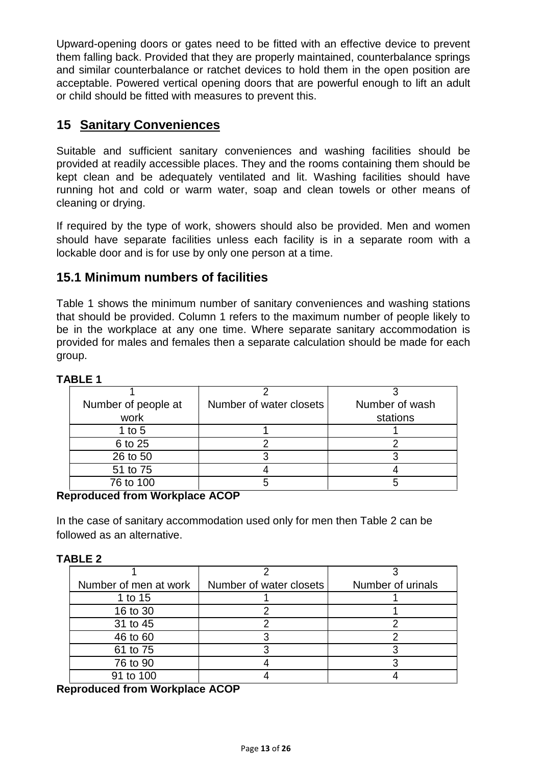Upward-opening doors or gates need to be fitted with an effective device to prevent them falling back. Provided that they are properly maintained, counterbalance springs and similar counterbalance or ratchet devices to hold them in the open position are acceptable. Powered vertical opening doors that are powerful enough to lift an adult or child should be fitted with measures to prevent this.

## **15 Sanitary Conveniences**

Suitable and sufficient sanitary conveniences and washing facilities should be provided at readily accessible places. They and the rooms containing them should be kept clean and be adequately ventilated and lit. Washing facilities should have running hot and cold or warm water, soap and clean towels or other means of cleaning or drying.

If required by the type of work, showers should also be provided. Men and women should have separate facilities unless each facility is in a separate room with a lockable door and is for use by only one person at a time.

## **15.1 Minimum numbers of facilities**

Table 1 shows the minimum number of sanitary conveniences and washing stations that should be provided. Column 1 refers to the maximum number of people likely to be in the workplace at any one time. Where separate sanitary accommodation is provided for males and females then a separate calculation should be made for each group.

## **TABLE 1**

| Number of people at | Number of water closets | Number of wash |
|---------------------|-------------------------|----------------|
| work                |                         | stations       |
| 1 to $5$            |                         |                |
| 6 to 25             |                         |                |
| 26 to 50            |                         |                |
| 51 to 75            |                         |                |
| 76 to 100           |                         |                |

**Reproduced from Workplace ACOP**

In the case of sanitary accommodation used only for men then Table 2 can be followed as an alternative.

#### **TABLE 2**

| Number of men at work | Number of water closets | Number of urinals |
|-----------------------|-------------------------|-------------------|
| 1 to 15               |                         |                   |
| 16 to 30              |                         |                   |
| 31 to 45              |                         |                   |
| 46 to 60              |                         |                   |
| 61 to 75              |                         |                   |
| 76 to 90              |                         |                   |
| 91 to 100             |                         |                   |

**Reproduced from Workplace ACOP**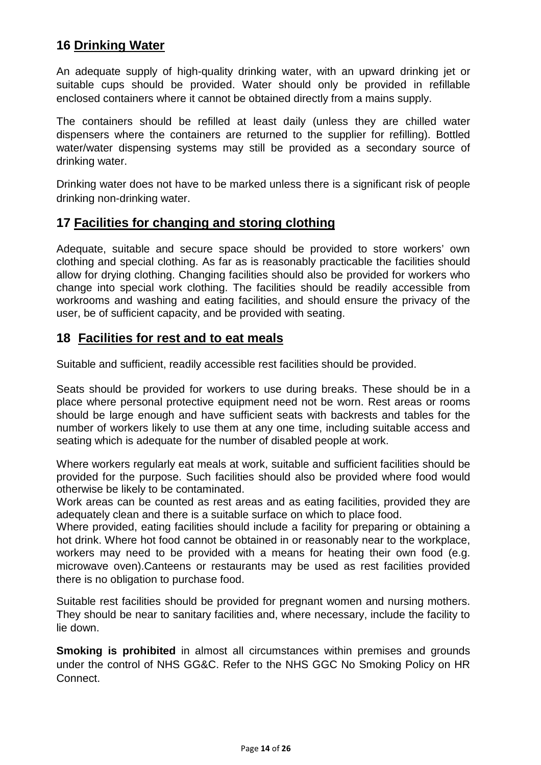## **16 Drinking Water**

An adequate supply of high-quality drinking water, with an upward drinking jet or suitable cups should be provided. Water should only be provided in refillable enclosed containers where it cannot be obtained directly from a mains supply.

The containers should be refilled at least daily (unless they are chilled water dispensers where the containers are returned to the supplier for refilling). Bottled water/water dispensing systems may still be provided as a secondary source of drinking water.

Drinking water does not have to be marked unless there is a significant risk of people drinking non-drinking water.

## **17 Facilities for changing and storing clothing**

Adequate, suitable and secure space should be provided to store workers' own clothing and special clothing. As far as is reasonably practicable the facilities should allow for drying clothing. Changing facilities should also be provided for workers who change into special work clothing. The facilities should be readily accessible from workrooms and washing and eating facilities, and should ensure the privacy of the user, be of sufficient capacity, and be provided with seating.

## **18 Facilities for rest and to eat meals**

Suitable and sufficient, readily accessible rest facilities should be provided.

Seats should be provided for workers to use during breaks. These should be in a place where personal protective equipment need not be worn. Rest areas or rooms should be large enough and have sufficient seats with backrests and tables for the number of workers likely to use them at any one time, including suitable access and seating which is adequate for the number of disabled people at work.

Where workers regularly eat meals at work, suitable and sufficient facilities should be provided for the purpose. Such facilities should also be provided where food would otherwise be likely to be contaminated.

Work areas can be counted as rest areas and as eating facilities, provided they are adequately clean and there is a suitable surface on which to place food.

Where provided, eating facilities should include a facility for preparing or obtaining a hot drink. Where hot food cannot be obtained in or reasonably near to the workplace, workers may need to be provided with a means for heating their own food (e.g. microwave oven).Canteens or restaurants may be used as rest facilities provided there is no obligation to purchase food.

Suitable rest facilities should be provided for pregnant women and nursing mothers. They should be near to sanitary facilities and, where necessary, include the facility to lie down.

**Smoking is prohibited** in almost all circumstances within premises and grounds under the control of NHS GG&C. Refer to the NHS GGC No Smoking Policy on HR Connect.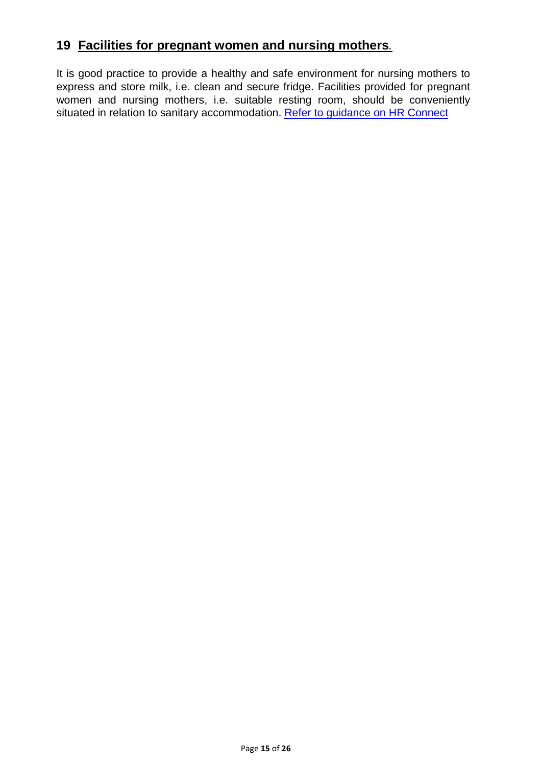# **19 Facilities for pregnant women and nursing mothers***.*

It is good practice to provide a healthy and safe environment for nursing mothers to express and store milk, i.e. clean and secure fridge. Facilities provided for pregnant women and nursing mothers, i.e. suitable resting room, should be conveniently situated in relation to sanitary accommodation. [Refer to guidance on HR Connect](https://www.nhsggc.org.uk/working-with-us/hr-connect/health-safety/policies-guidance-documents-forms/new-expectant-mothers/)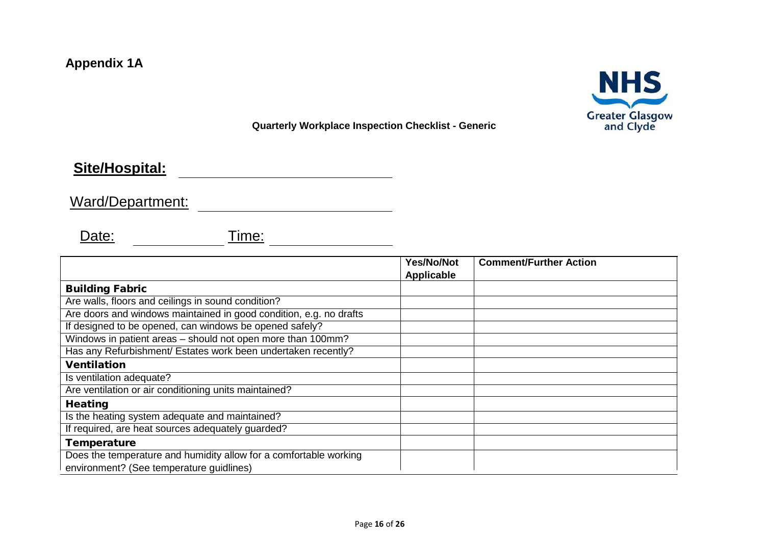# **Appendix 1A**



**Quarterly Workplace Inspection Checklist - Generic**

# **Site/Hospital:**

Ward/Department:

Date: Time:

|                                                                    | <b>Yes/No/Not</b> | <b>Comment/Further Action</b> |
|--------------------------------------------------------------------|-------------------|-------------------------------|
|                                                                    | <b>Applicable</b> |                               |
| <b>Building Fabric</b>                                             |                   |                               |
| Are walls, floors and ceilings in sound condition?                 |                   |                               |
| Are doors and windows maintained in good condition, e.g. no drafts |                   |                               |
| If designed to be opened, can windows be opened safely?            |                   |                               |
| Windows in patient areas - should not open more than 100mm?        |                   |                               |
| Has any Refurbishment/ Estates work been undertaken recently?      |                   |                               |
| <b>Ventilation</b>                                                 |                   |                               |
| Is ventilation adequate?                                           |                   |                               |
| Are ventilation or air conditioning units maintained?              |                   |                               |
| <b>Heating</b>                                                     |                   |                               |
| Is the heating system adequate and maintained?                     |                   |                               |
| If required, are heat sources adequately guarded?                  |                   |                               |
| Temperature                                                        |                   |                               |
| Does the temperature and humidity allow for a comfortable working  |                   |                               |
| environment? (See temperature guidlines)                           |                   |                               |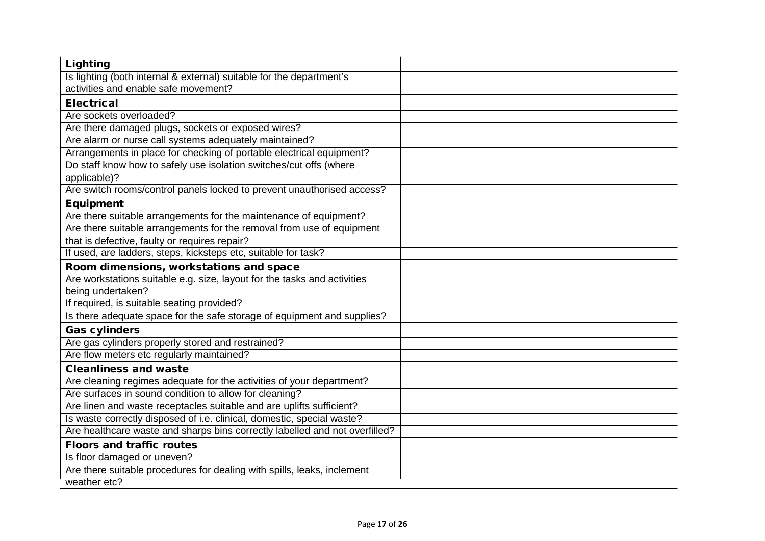| Lighting                                                                    |  |
|-----------------------------------------------------------------------------|--|
| Is lighting (both internal & external) suitable for the department's        |  |
| activities and enable safe movement?                                        |  |
| <b>Electrical</b>                                                           |  |
| Are sockets overloaded?                                                     |  |
| Are there damaged plugs, sockets or exposed wires?                          |  |
| Are alarm or nurse call systems adequately maintained?                      |  |
| Arrangements in place for checking of portable electrical equipment?        |  |
| Do staff know how to safely use isolation switches/cut offs (where          |  |
| applicable)?                                                                |  |
| Are switch rooms/control panels locked to prevent unauthorised access?      |  |
| <b>Equipment</b>                                                            |  |
| Are there suitable arrangements for the maintenance of equipment?           |  |
| Are there suitable arrangements for the removal from use of equipment       |  |
| that is defective, faulty or requires repair?                               |  |
| If used, are ladders, steps, kicksteps etc, suitable for task?              |  |
| Room dimensions, workstations and space                                     |  |
| Are workstations suitable e.g. size, layout for the tasks and activities    |  |
| being undertaken?                                                           |  |
| If required, is suitable seating provided?                                  |  |
| Is there adequate space for the safe storage of equipment and supplies?     |  |
| <b>Gas cylinders</b>                                                        |  |
| Are gas cylinders properly stored and restrained?                           |  |
| Are flow meters etc regularly maintained?                                   |  |
| <b>Cleanliness and waste</b>                                                |  |
| Are cleaning regimes adequate for the activities of your department?        |  |
| Are surfaces in sound condition to allow for cleaning?                      |  |
| Are linen and waste receptacles suitable and are uplifts sufficient?        |  |
| Is waste correctly disposed of i.e. clinical, domestic, special waste?      |  |
| Are healthcare waste and sharps bins correctly labelled and not overfilled? |  |
| <b>Floors and traffic routes</b>                                            |  |
| Is floor damaged or uneven?                                                 |  |
| Are there suitable procedures for dealing with spills, leaks, inclement     |  |
| weather etc?                                                                |  |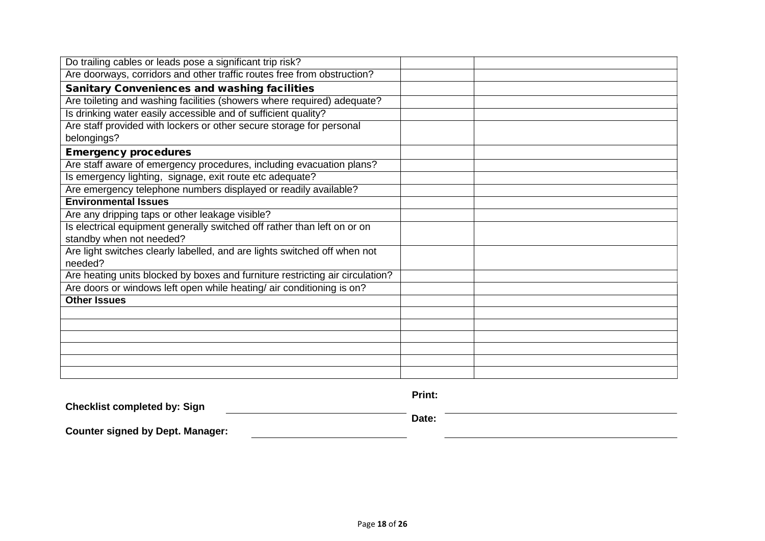| Do trailing cables or leads pose a significant trip risk?                     |  |
|-------------------------------------------------------------------------------|--|
| Are doorways, corridors and other traffic routes free from obstruction?       |  |
| <b>Sanitary Conveniences and washing facilities</b>                           |  |
| Are toileting and washing facilities (showers where required) adequate?       |  |
| Is drinking water easily accessible and of sufficient quality?                |  |
| Are staff provided with lockers or other secure storage for personal          |  |
| belongings?                                                                   |  |
| <b>Emergency procedures</b>                                                   |  |
| Are staff aware of emergency procedures, including evacuation plans?          |  |
| Is emergency lighting, signage, exit route etc adequate?                      |  |
| Are emergency telephone numbers displayed or readily available?               |  |
| <b>Environmental Issues</b>                                                   |  |
| Are any dripping taps or other leakage visible?                               |  |
| Is electrical equipment generally switched off rather than left on or on      |  |
| standby when not needed?                                                      |  |
| Are light switches clearly labelled, and are lights switched off when not     |  |
| needed?                                                                       |  |
| Are heating units blocked by boxes and furniture restricting air circulation? |  |
| Are doors or windows left open while heating/ air conditioning is on?         |  |
| <b>Other Issues</b>                                                           |  |
|                                                                               |  |
|                                                                               |  |
|                                                                               |  |
|                                                                               |  |
|                                                                               |  |
|                                                                               |  |

|                                         | <b>Print:</b> |  |
|-----------------------------------------|---------------|--|
| <b>Checklist completed by: Sign</b>     |               |  |
|                                         | Date:         |  |
| <b>Counter signed by Dept. Manager:</b> |               |  |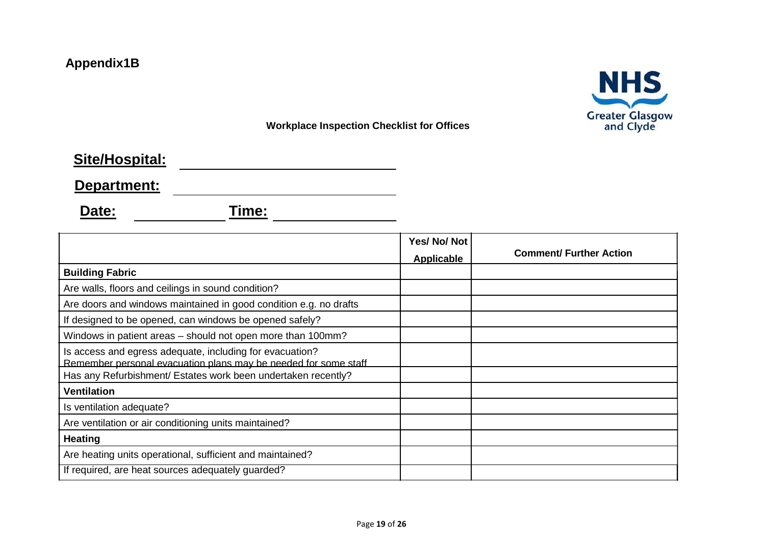

## **Workplace Inspection Checklist for Offices**

|  |  |  | Site/Hospital: |
|--|--|--|----------------|
|--|--|--|----------------|

# **Department:**

**Date: Time:**

|                                                                                                                             | Yes/ No/ Not      |                                |
|-----------------------------------------------------------------------------------------------------------------------------|-------------------|--------------------------------|
|                                                                                                                             | <b>Applicable</b> | <b>Comment/ Further Action</b> |
| <b>Building Fabric</b>                                                                                                      |                   |                                |
| Are walls, floors and ceilings in sound condition?                                                                          |                   |                                |
| Are doors and windows maintained in good condition e.g. no drafts                                                           |                   |                                |
| If designed to be opened, can windows be opened safely?                                                                     |                   |                                |
| Windows in patient areas – should not open more than 100mm?                                                                 |                   |                                |
| Is access and egress adequate, including for evacuation?<br>Remember personal evacuation plans may be needed for some staff |                   |                                |
| Has any Refurbishment/ Estates work been undertaken recently?                                                               |                   |                                |
| <b>Ventilation</b>                                                                                                          |                   |                                |
| Is ventilation adequate?                                                                                                    |                   |                                |
| Are ventilation or air conditioning units maintained?                                                                       |                   |                                |
| <b>Heating</b>                                                                                                              |                   |                                |
| Are heating units operational, sufficient and maintained?                                                                   |                   |                                |
| If required, are heat sources adequately guarded?                                                                           |                   |                                |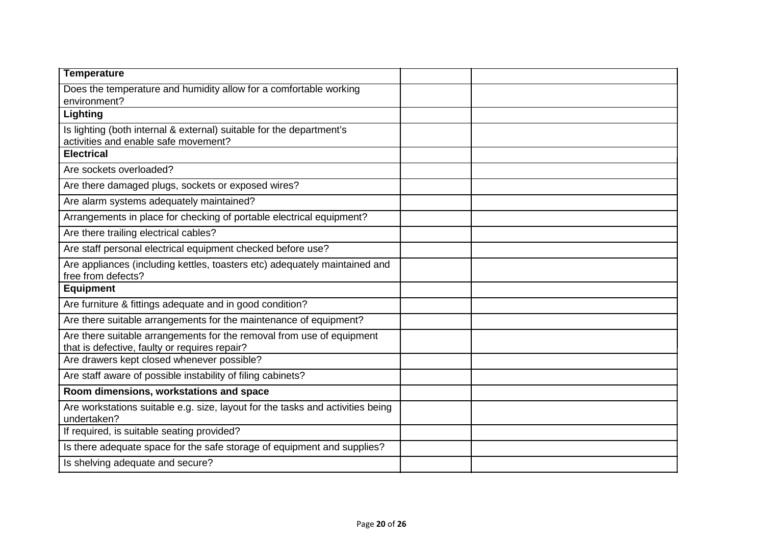| <b>Temperature</b>                                                                                                     |  |
|------------------------------------------------------------------------------------------------------------------------|--|
| Does the temperature and humidity allow for a comfortable working                                                      |  |
| environment?                                                                                                           |  |
| Lighting                                                                                                               |  |
| Is lighting (both internal & external) suitable for the department's                                                   |  |
| activities and enable safe movement?                                                                                   |  |
| <b>Electrical</b>                                                                                                      |  |
| Are sockets overloaded?                                                                                                |  |
| Are there damaged plugs, sockets or exposed wires?                                                                     |  |
| Are alarm systems adequately maintained?                                                                               |  |
| Arrangements in place for checking of portable electrical equipment?                                                   |  |
| Are there trailing electrical cables?                                                                                  |  |
| Are staff personal electrical equipment checked before use?                                                            |  |
| Are appliances (including kettles, toasters etc) adequately maintained and<br>free from defects?                       |  |
| <b>Equipment</b>                                                                                                       |  |
| Are furniture & fittings adequate and in good condition?                                                               |  |
| Are there suitable arrangements for the maintenance of equipment?                                                      |  |
| Are there suitable arrangements for the removal from use of equipment<br>that is defective, faulty or requires repair? |  |
| Are drawers kept closed whenever possible?                                                                             |  |
| Are staff aware of possible instability of filing cabinets?                                                            |  |
| Room dimensions, workstations and space                                                                                |  |
| Are workstations suitable e.g. size, layout for the tasks and activities being<br>undertaken?                          |  |
| If required, is suitable seating provided?                                                                             |  |
| Is there adequate space for the safe storage of equipment and supplies?                                                |  |
| Is shelving adequate and secure?                                                                                       |  |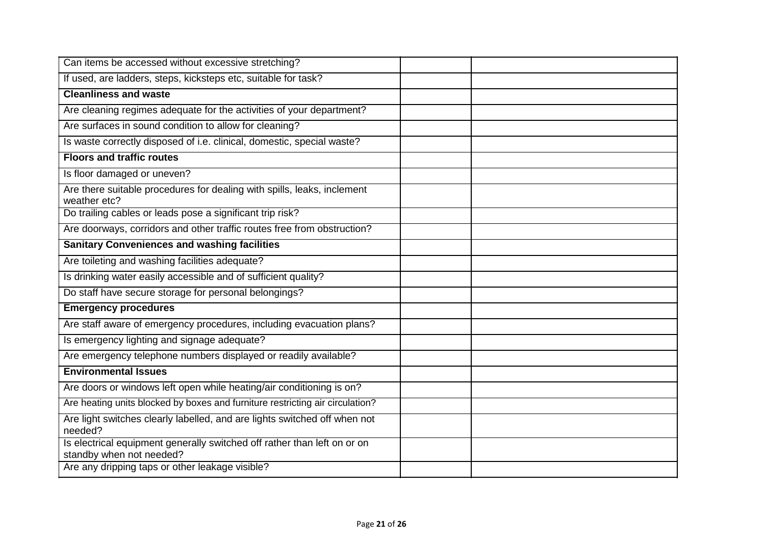| Can items be accessed without excessive stretching?                                                  |  |
|------------------------------------------------------------------------------------------------------|--|
| If used, are ladders, steps, kicksteps etc, suitable for task?                                       |  |
| <b>Cleanliness and waste</b>                                                                         |  |
| Are cleaning regimes adequate for the activities of your department?                                 |  |
| Are surfaces in sound condition to allow for cleaning?                                               |  |
| Is waste correctly disposed of i.e. clinical, domestic, special waste?                               |  |
| <b>Floors and traffic routes</b>                                                                     |  |
| Is floor damaged or uneven?                                                                          |  |
| Are there suitable procedures for dealing with spills, leaks, inclement<br>weather etc?              |  |
| Do trailing cables or leads pose a significant trip risk?                                            |  |
| Are doorways, corridors and other traffic routes free from obstruction?                              |  |
| <b>Sanitary Conveniences and washing facilities</b>                                                  |  |
| Are toileting and washing facilities adequate?                                                       |  |
| Is drinking water easily accessible and of sufficient quality?                                       |  |
| Do staff have secure storage for personal belongings?                                                |  |
| <b>Emergency procedures</b>                                                                          |  |
| Are staff aware of emergency procedures, including evacuation plans?                                 |  |
| Is emergency lighting and signage adequate?                                                          |  |
| Are emergency telephone numbers displayed or readily available?                                      |  |
| <b>Environmental Issues</b>                                                                          |  |
| Are doors or windows left open while heating/air conditioning is on?                                 |  |
| Are heating units blocked by boxes and furniture restricting air circulation?                        |  |
| Are light switches clearly labelled, and are lights switched off when not<br>needed?                 |  |
| Is electrical equipment generally switched off rather than left on or on<br>standby when not needed? |  |
| Are any dripping taps or other leakage visible?                                                      |  |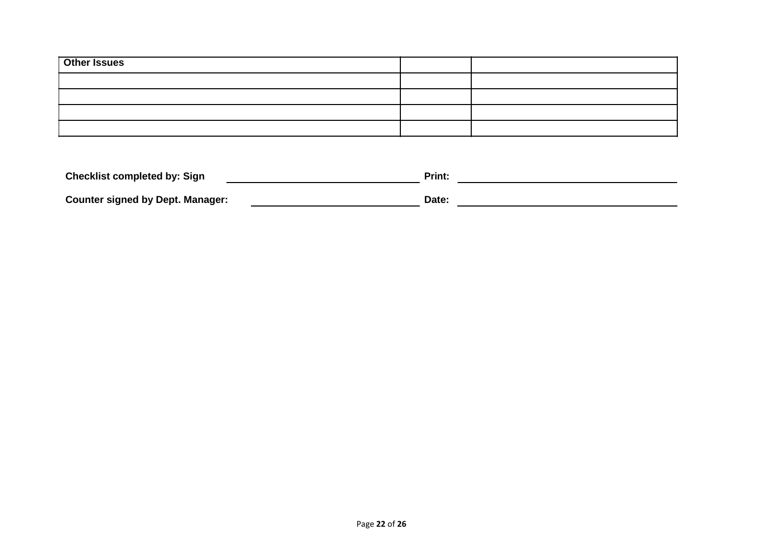| Other Issues |  |
|--------------|--|
|              |  |
|              |  |
|              |  |
|              |  |

| <b>Checklist completed by: Sign</b>     | <b>Print:</b> |
|-----------------------------------------|---------------|
| <b>Counter signed by Dept. Manager:</b> | Date:         |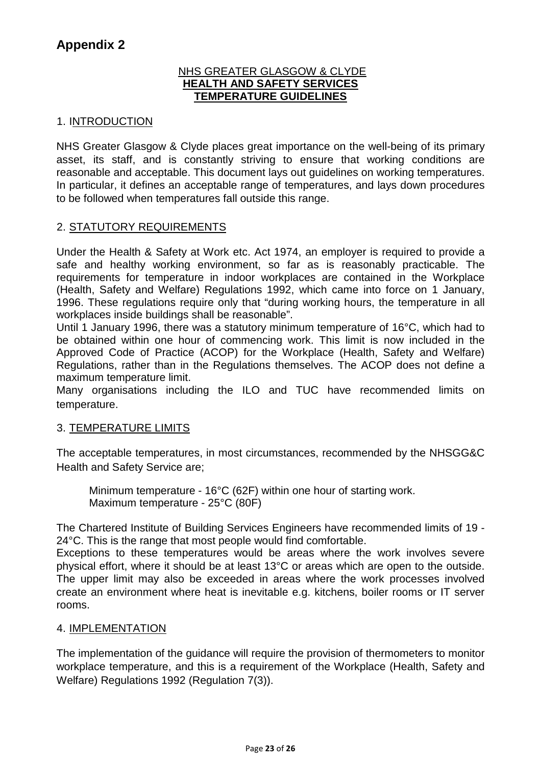# **Appendix 2**

#### NHS GREATER GLASGOW & CLYDE **HEALTH AND SAFETY SERVICES TEMPERATURE GUIDELINES**

#### 1. INTRODUCTION

NHS Greater Glasgow & Clyde places great importance on the well-being of its primary asset, its staff, and is constantly striving to ensure that working conditions are reasonable and acceptable. This document lays out guidelines on working temperatures. In particular, it defines an acceptable range of temperatures, and lays down procedures to be followed when temperatures fall outside this range.

#### 2. STATUTORY REQUIREMENTS

Under the Health & Safety at Work etc. Act 1974, an employer is required to provide a safe and healthy working environment, so far as is reasonably practicable. The requirements for temperature in indoor workplaces are contained in the Workplace (Health, Safety and Welfare) Regulations 1992, which came into force on 1 January, 1996. These regulations require only that "during working hours, the temperature in all workplaces inside buildings shall be reasonable".

Until 1 January 1996, there was a statutory minimum temperature of 16°C, which had to be obtained within one hour of commencing work. This limit is now included in the Approved Code of Practice (ACOP) for the Workplace (Health, Safety and Welfare) Regulations, rather than in the Regulations themselves. The ACOP does not define a maximum temperature limit.

Many organisations including the ILO and TUC have recommended limits on temperature.

#### 3. TEMPERATURE LIMITS

The acceptable temperatures, in most circumstances, recommended by the NHSGG&C Health and Safety Service are;

Minimum temperature - 16°C (62F) within one hour of starting work. Maximum temperature - 25°C (80F)

The Chartered Institute of Building Services Engineers have recommended limits of 19 - 24°C. This is the range that most people would find comfortable.

Exceptions to these temperatures would be areas where the work involves severe physical effort, where it should be at least 13°C or areas which are open to the outside. The upper limit may also be exceeded in areas where the work processes involved create an environment where heat is inevitable e.g. kitchens, boiler rooms or IT server rooms.

#### 4. IMPLEMENTATION

The implementation of the guidance will require the provision of thermometers to monitor workplace temperature, and this is a requirement of the Workplace (Health, Safety and Welfare) Regulations 1992 (Regulation 7(3)).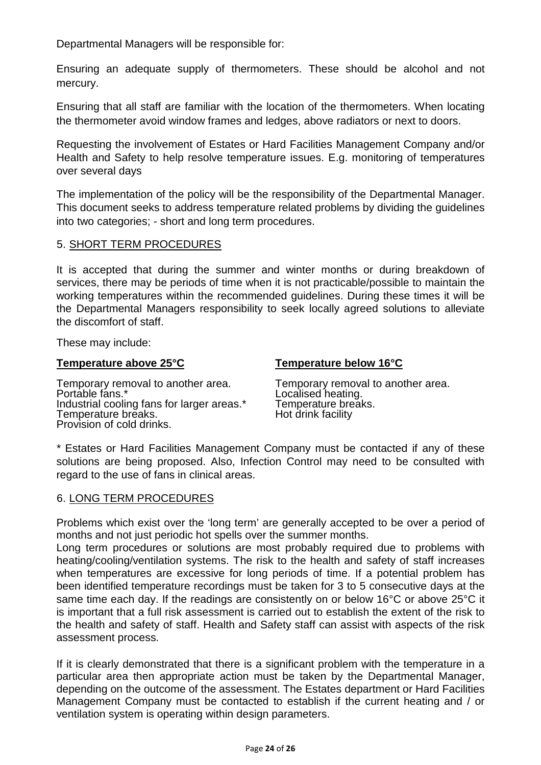Departmental Managers will be responsible for:

Ensuring an adequate supply of thermometers. These should be alcohol and not mercury.

Ensuring that all staff are familiar with the location of the thermometers. When locating the thermometer avoid window frames and ledges, above radiators or next to doors.

Requesting the involvement of Estates or Hard Facilities Management Company and/or Health and Safety to help resolve temperature issues. E.g. monitoring of temperatures over several days

The implementation of the policy will be the responsibility of the Departmental Manager. This document seeks to address temperature related problems by dividing the guidelines into two categories; - short and long term procedures.

#### 5. SHORT TERM PROCEDURES

It is accepted that during the summer and winter months or during breakdown of services, there may be periods of time when it is not practicable/possible to maintain the working temperatures within the recommended guidelines. During these times it will be the Departmental Managers responsibility to seek locally agreed solutions to alleviate the discomfort of staff.

These may include:

#### **Temperature above 25°C**

#### **Temperature below 16°C**

Temporary removal to another area. Portable fans.\* Industrial cooling fans for larger areas.\* Temperature breaks. Provision of cold drinks.

Temporary removal to another area. Localised heating. Temperature breaks. Hot drink facility

\* Estates or Hard Facilities Management Company must be contacted if any of these solutions are being proposed. Also, Infection Control may need to be consulted with regard to the use of fans in clinical areas.

#### 6. LONG TERM PROCEDURES

Problems which exist over the 'long term' are generally accepted to be over a period of months and not just periodic hot spells over the summer months.

Long term procedures or solutions are most probably required due to problems with heating/cooling/ventilation systems. The risk to the health and safety of staff increases when temperatures are excessive for long periods of time. If a potential problem has been identified temperature recordings must be taken for 3 to 5 consecutive days at the same time each day. If the readings are consistently on or below 16°C or above 25°C it is important that a full risk assessment is carried out to establish the extent of the risk to the health and safety of staff. Health and Safety staff can assist with aspects of the risk assessment process.

If it is clearly demonstrated that there is a significant problem with the temperature in a particular area then appropriate action must be taken by the Departmental Manager, depending on the outcome of the assessment. The Estates department or Hard Facilities Management Company must be contacted to establish if the current heating and / or ventilation system is operating within design parameters.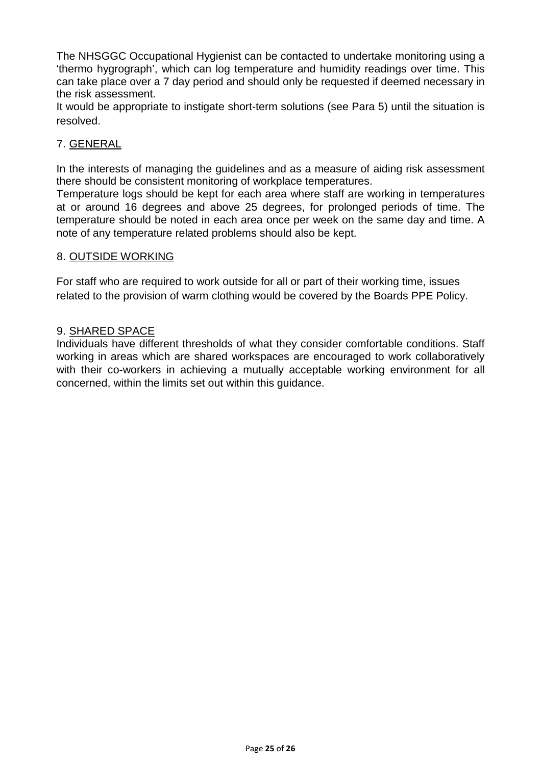The NHSGGC Occupational Hygienist can be contacted to undertake monitoring using a 'thermo hygrograph', which can log temperature and humidity readings over time. This can take place over a 7 day period and should only be requested if deemed necessary in the risk assessment.

It would be appropriate to instigate short-term solutions (see Para 5) until the situation is resolved.

#### 7. GENERAL

In the interests of managing the guidelines and as a measure of aiding risk assessment there should be consistent monitoring of workplace temperatures.

Temperature logs should be kept for each area where staff are working in temperatures at or around 16 degrees and above 25 degrees, for prolonged periods of time. The temperature should be noted in each area once per week on the same day and time. A note of any temperature related problems should also be kept.

#### 8. OUTSIDE WORKING

For staff who are required to work outside for all or part of their working time, issues related to the provision of warm clothing would be covered by the Boards PPE Policy.

## 9. <u>SHARED SPACE</u>

Individuals have different thresholds of what they consider comfortable conditions. Staff working in areas which are shared workspaces are encouraged to work collaboratively with their co-workers in achieving a mutually acceptable working environment for all concerned, within the limits set out within this guidance.